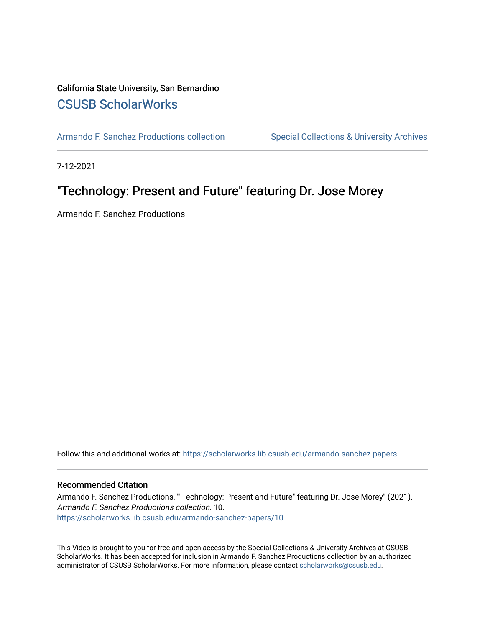## California State University, San Bernardino [CSUSB ScholarWorks](https://scholarworks.lib.csusb.edu/)

[Armando F. Sanchez Productions collection](https://scholarworks.lib.csusb.edu/armando-sanchez-papers) Special Collections & University Archives

7-12-2021

## "Technology: Present and Future" featuring Dr. Jose Morey

Armando F. Sanchez Productions

Follow this and additional works at: [https://scholarworks.lib.csusb.edu/armando-sanchez-papers](https://scholarworks.lib.csusb.edu/armando-sanchez-papers?utm_source=scholarworks.lib.csusb.edu%2Farmando-sanchez-papers%2F10&utm_medium=PDF&utm_campaign=PDFCoverPages) 

#### Recommended Citation

Armando F. Sanchez Productions, ""Technology: Present and Future" featuring Dr. Jose Morey" (2021). Armando F. Sanchez Productions collection. 10. [https://scholarworks.lib.csusb.edu/armando-sanchez-papers/10](https://scholarworks.lib.csusb.edu/armando-sanchez-papers/10?utm_source=scholarworks.lib.csusb.edu%2Farmando-sanchez-papers%2F10&utm_medium=PDF&utm_campaign=PDFCoverPages) 

This Video is brought to you for free and open access by the Special Collections & University Archives at CSUSB ScholarWorks. It has been accepted for inclusion in Armando F. Sanchez Productions collection by an authorized administrator of CSUSB ScholarWorks. For more information, please contact [scholarworks@csusb.edu](mailto:scholarworks@csusb.edu).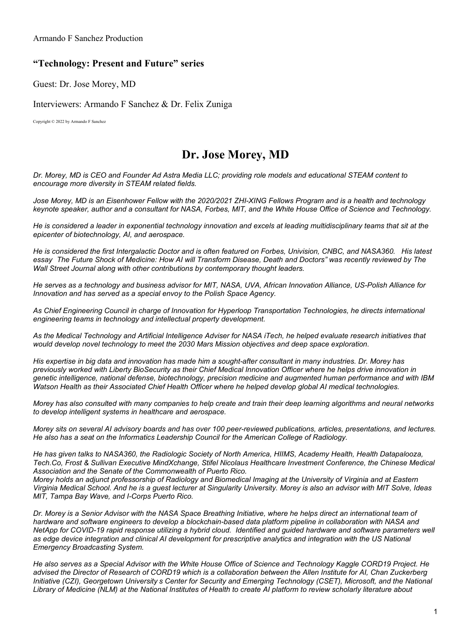Armando F Sanchez Production

## **"Technology: Present and Future" series**

Guest: Dr. Jose Morey, MD

Interviewers: Armando F Sanchez & Dr. Felix Zuniga

Copyright © 2022 by Armando F Sanchez

# **Dr. Jose Morey, MD**

Dr. Morey, MD is CEO and Founder Ad Astra Media LLC; providing role models and educational STEAM content to *encourage more diversity in STEAM related fields.*

Jose Morey. MD is an Eisenhower Fellow with the 2020/2021 ZHI-XING Fellows Program and is a health and technology keynote speaker, author and a consultant for NASA, Forbes, MIT, and the White House Office of Science and Technology.

He is considered a leader in exponential technology innovation and excels at leading multidisciplinary teams that sit at the *epicenter of biotechnology, AI, and aerospace.*

He is considered the first Intergalactic Doctor and is often featured on Forbes, Univision, CNBC, and NASA360. His latest essay The Future Shock of Medicine: How AI will Transform Disease, Death and Doctors" was recently reviewed by The *Wall Street Journal along with other contributions by contemporary thought leaders.*

He serves as a technology and business advisor for MIT, NASA, UVA, African Innovation Alliance, US-Polish Alliance for *Innovation and has served as a special envoy to the Polish Space Agency.*

As Chief Engineering Council in charge of Innovation for Hyperloop Transportation Technologies, he directs international *engineering teams in technology and intellectual property development.*

As the Medical Technology and Artificial Intelligence Adviser for NASA iTech, he helped evaluate research initiatives that *would develop novel technology to meet the 2030 Mars Mission objectives and deep space exploration.* 

His expertise in big data and innovation has made him a sought-after consultant in many industries. Dr. Morey has previously worked with Liberty BioSecurity as their Chief Medical Innovation Officer where he helps drive innovation in *genetic intelligence, national defense, biotechnology, precision medicine and augmented human performance and with IBM Watson Health as their Associated Chief Health Officer where he helped develop global AI medical technologies.*

Morey has also consulted with many companies to help create and train their deep learning algorithms and neural networks *to develop intelligent systems in healthcare and aerospace.*

Morev sits on several AI advisory boards and has over 100 peer-reviewed publications, articles, presentations, and lectures. *He also has a seat on the Informatics Leadership Council for the American College of Radiology.*

He has given talks to NASA360, the Radiologic Society of North America, HIIMS, Academy Health, Health Datapalooza, *Tech.Co, Frost & Sullivan Executive MindXchange, Stifel Nicolaus Healthcare Investment Conference, the Chinese Medical Association and the Senate of the Commonwealth of Puerto Rico.*

Morey holds an adjunct professorship of Radiology and Biomedical Imaging at the University of Virginia and at Eastern Virginia Medical School. And he is a guest lecturer at Singularity University. Morey is also an advisor with MIT Solve, Ideas *MIT, Tampa Bay Wave, and I-Corps Puerto Rico.*

Dr. Morey is a Senior Advisor with the NASA Space Breathing Initiative, where he helps direct an international team of hardware and software engineers to develop a blockchain-based data platform pipeline in collaboration with NASA and NetApp for COVID-19 rapid response utilizing a hybrid cloud. Identified and guided hardware and software parameters well as edge device integration and clinical AI development for prescriptive analytics and integration with the US National *Emergency Broadcasting System.*

He also serves as a Special Advisor with the White House Office of Science and Technology Kaggle CORD19 Project. He advised the Director of Research of CORD19 which is a collaboration between the Allen Institute for AI, Chan Zuckerberg Initiative (CZI), Georgetown University s Center for Security and Emerging Technology (CSET), Microsoft, and the National Library of Medicine (NLM) at the National Institutes of Health to create AI platform to review scholarly literature about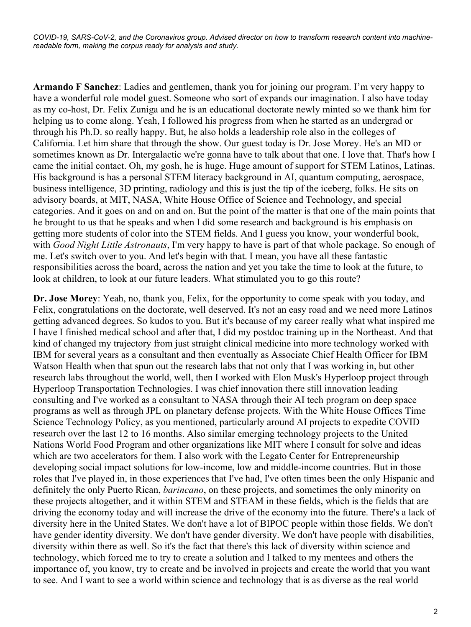COVID-19, SARS-CoV-2, and the Coronavirus group. Advised director on how to transform research content into machine*readable form, making the corpus ready for analysis and study.*

**Armando F Sanchez**: Ladies and gentlemen, thank you for joining our program. I'm very happy to have a wonderful role model guest. Someone who sort of expands our imagination. I also have today as my co-host, Dr. Felix Zuniga and he is an educational doctorate newly minted so we thank him for helping us to come along. Yeah, I followed his progress from when he started as an undergrad or through his Ph.D. so really happy. But, he also holds a leadership role also in the colleges of California. Let him share that through the show. Our guest today is Dr. Jose Morey. He's an MD or sometimes known as Dr. Intergalactic we're gonna have to talk about that one. I love that. That's how I came the initial contact. Oh, my gosh, he is huge. Huge amount of support for STEM Latinos, Latinas. His background is has a personal STEM literacy background in AI, quantum computing, aerospace, business intelligence, 3D printing, radiology and this is just the tip of the iceberg, folks. He sits on advisory boards, at MIT, NASA, White House Office of Science and Technology, and special categories. And it goes on and on and on. But the point of the matter is that one of the main points that he brought to us that he speaks and when I did some research and background is his emphasis on getting more students of color into the STEM fields. And I guess you know, your wonderful book, with *Good Night Little Astronauts*, I'm very happy to have is part of that whole package. So enough of me. Let's switch over to you. And let's begin with that. I mean, you have all these fantastic responsibilities across the board, across the nation and yet you take the time to look at the future, to look at children, to look at our future leaders. What stimulated you to go this route?

**Dr. Jose Morey**: Yeah, no, thank you, Felix, for the opportunity to come speak with you today, and Felix, congratulations on the doctorate, well deserved. It's not an easy road and we need more Latinos getting advanced degrees. So kudos to you. But it's because of my career really what what inspired me I have I finished medical school and after that, I did my postdoc training up in the Northeast. And that kind of changed my trajectory from just straight clinical medicine into more technology worked with IBM for several years as a consultant and then eventually as Associate Chief Health Officer for IBM Watson Health when that spun out the research labs that not only that I was working in, but other research labs throughout the world, well, then I worked with Elon Musk's Hyperloop project through Hyperloop Transportation Technologies. I was chief innovation there still innovation leading consulting and I've worked as a consultant to NASA through their AI tech program on deep space programs as well as through JPL on planetary defense projects. With the White House Offices Time Science Technology Policy, as you mentioned, particularly around AI projects to expedite COVID research over the last 12 to 16 months. Also similar emerging technology projects to the United Nations World Food Program and other organizations like MIT where I consult for solve and ideas which are two accelerators for them. I also work with the Legato Center for Entrepreneurship developing social impact solutions for low-income, low and middle-income countries. But in those roles that I've played in, in those experiences that I've had, I've often times been the only Hispanic and definitely the only Puerto Rican, *barincano*, on these projects, and sometimes the only minority on these projects altogether, and it within STEM and STEAM in these fields, which is the fields that are driving the economy today and will increase the drive of the economy into the future. There's a lack of diversity here in the United States. We don't have a lot of BIPOC people within those fields. We don't have gender identity diversity. We don't have gender diversity. We don't have people with disabilities, diversity within there as well. So it's the fact that there's this lack of diversity within science and technology, which forced me to try to create a solution and I talked to my mentees and others the importance of, you know, try to create and be involved in projects and create the world that you want to see. And I want to see a world within science and technology that is as diverse as the real world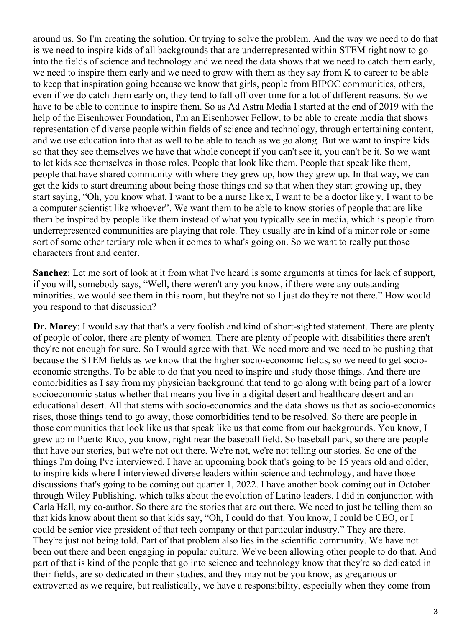around us. So I'm creating the solution. Or trying to solve the problem. And the way we need to do that is we need to inspire kids of all backgrounds that are underrepresented within STEM right now to go into the fields of science and technology and we need the data shows that we need to catch them early, we need to inspire them early and we need to grow with them as they say from K to career to be able to keep that inspiration going because we know that girls, people from BIPOC communities, others, even if we do catch them early on, they tend to fall off over time for a lot of different reasons. So we have to be able to continue to inspire them. So as Ad Astra Media I started at the end of 2019 with the help of the Eisenhower Foundation, I'm an Eisenhower Fellow, to be able to create media that shows representation of diverse people within fields of science and technology, through entertaining content, and we use education into that as well to be able to teach as we go along. But we want to inspire kids so that they see themselves we have that whole concept if you can't see it, you can't be it. So we want to let kids see themselves in those roles. People that look like them. People that speak like them, people that have shared community with where they grew up, how they grew up. In that way, we can get the kids to start dreaming about being those things and so that when they start growing up, they start saying, "Oh, you know what, I want to be a nurse like x, I want to be a doctor like y, I want to be a computer scientist like whoever". We want them to be able to know stories of people that are like them be inspired by people like them instead of what you typically see in media, which is people from underrepresented communities are playing that role. They usually are in kind of a minor role or some sort of some other tertiary role when it comes to what's going on. So we want to really put those characters front and center.

**Sanchez**: Let me sort of look at it from what I've heard is some arguments at times for lack of support, if you will, somebody says, "Well, there weren't any you know, if there were any outstanding minorities, we would see them in this room, but they're not so I just do they're not there." How would you respond to that discussion?

**Dr. Morey**: I would say that that's a very foolish and kind of short-sighted statement. There are plenty of people of color, there are plenty of women. There are plenty of people with disabilities there aren't they're not enough for sure. So I would agree with that. We need more and we need to be pushing that because the STEM fields as we know that the higher socio-economic fields, so we need to get socioeconomic strengths. To be able to do that you need to inspire and study those things. And there are comorbidities as I say from my physician background that tend to go along with being part of a lower socioeconomic status whether that means you live in a digital desert and healthcare desert and an educational desert. All that stems with socio-economics and the data shows us that as socio-economics rises, those things tend to go away, those comorbidities tend to be resolved. So there are people in those communities that look like us that speak like us that come from our backgrounds. You know, I grew up in Puerto Rico, you know, right near the baseball field. So baseball park, so there are people that have our stories, but we're not out there. We're not, we're not telling our stories. So one of the things I'm doing I've interviewed, I have an upcoming book that's going to be 15 years old and older, to inspire kids where I interviewed diverse leaders within science and technology, and have those discussions that's going to be coming out quarter 1, 2022. I have another book coming out in October through Wiley Publishing, which talks about the evolution of Latino leaders. I did in conjunction with Carla Hall, my co-author. So there are the stories that are out there. We need to just be telling them so that kids know about them so that kids say, "Oh, I could do that. You know, I could be CEO, or I could be senior vice president of that tech company or that particular industry." They are there. They're just not being told. Part of that problem also lies in the scientific community. We have not been out there and been engaging in popular culture. We've been allowing other people to do that. And part of that is kind of the people that go into science and technology know that they're so dedicated in their fields, are so dedicated in their studies, and they may not be you know, as gregarious or extroverted as we require, but realistically, we have a responsibility, especially when they come from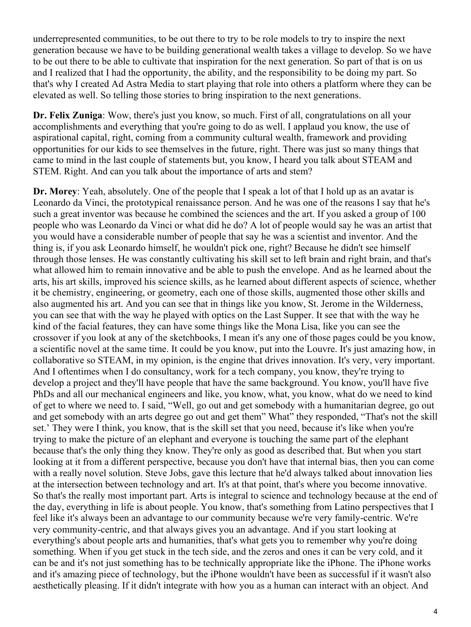underrepresented communities, to be out there to try to be role models to try to inspire the next generation because we have to be building generational wealth takes a village to develop. So we have to be out there to be able to cultivate that inspiration for the next generation. So part of that is on us and I realized that I had the opportunity, the ability, and the responsibility to be doing my part. So that's why I created Ad Astra Media to start playing that role into others a platform where they can be elevated as well. So telling those stories to bring inspiration to the next generations.

**Dr. Felix Zuniga**: Wow, there's just you know, so much. First of all, congratulations on all your accomplishments and everything that you're going to do as well. I applaud you know, the use of aspirational capital, right, coming from a community cultural wealth, framework and providing opportunities for our kids to see themselves in the future, right. There was just so many things that came to mind in the last couple of statements but, you know, I heard you talk about STEAM and STEM. Right. And can you talk about the importance of arts and stem?

**Dr. Morey**: Yeah, absolutely. One of the people that I speak a lot of that I hold up as an avatar is Leonardo da Vinci, the prototypical renaissance person. And he was one of the reasons I say that he's such a great inventor was because he combined the sciences and the art. If you asked a group of 100 people who was Leonardo da Vinci or what did he do? A lot of people would say he was an artist that you would have a considerable number of people that say he was a scientist and inventor. And the thing is, if you ask Leonardo himself, he wouldn't pick one, right? Because he didn't see himself through those lenses. He was constantly cultivating his skill set to left brain and right brain, and that's what allowed him to remain innovative and be able to push the envelope. And as he learned about the arts, his art skills, improved his science skills, as he learned about different aspects of science, whether it be chemistry, engineering, or geometry, each one of those skills, augmented those other skills and also augmented his art. And you can see that in things like you know, St. Jerome in the Wilderness, you can see that with the way he played with optics on the Last Supper. It see that with the way he kind of the facial features, they can have some things like the Mona Lisa, like you can see the crossover if you look at any of the sketchbooks, I mean it's any one of those pages could be you know, a scientific novel at the same time. It could be you know, put into the Louvre. It's just amazing how, in collaborative so STEAM, in my opinion, is the engine that drives innovation. It's very, very important. And I oftentimes when I do consultancy, work for a tech company, you know, they're trying to develop a project and they'll have people that have the same background. You know, you'll have five PhDs and all our mechanical engineers and like, you know, what, you know, what do we need to kind of get to where we need to. I said, "Well, go out and get somebody with a humanitarian degree, go out and get somebody with an arts degree go out and get them" What" they responded, "That's not the skill set.' They were I think, you know, that is the skill set that you need, because it's like when you're trying to make the picture of an elephant and everyone is touching the same part of the elephant because that's the only thing they know. They're only as good as described that. But when you start looking at it from a different perspective, because you don't have that internal bias, then you can come with a really novel solution. Steve Jobs, gave this lecture that he'd always talked about innovation lies at the intersection between technology and art. It's at that point, that's where you become innovative. So that's the really most important part. Arts is integral to science and technology because at the end of the day, everything in life is about people. You know, that's something from Latino perspectives that I feel like it's always been an advantage to our community because we're very family-centric. We're very community-centric, and that always gives you an advantage. And if you start looking at everything's about people arts and humanities, that's what gets you to remember why you're doing something. When if you get stuck in the tech side, and the zeros and ones it can be very cold, and it can be and it's not just something has to be technically appropriate like the iPhone. The iPhone works and it's amazing piece of technology, but the iPhone wouldn't have been as successful if it wasn't also aesthetically pleasing. If it didn't integrate with how you as a human can interact with an object. And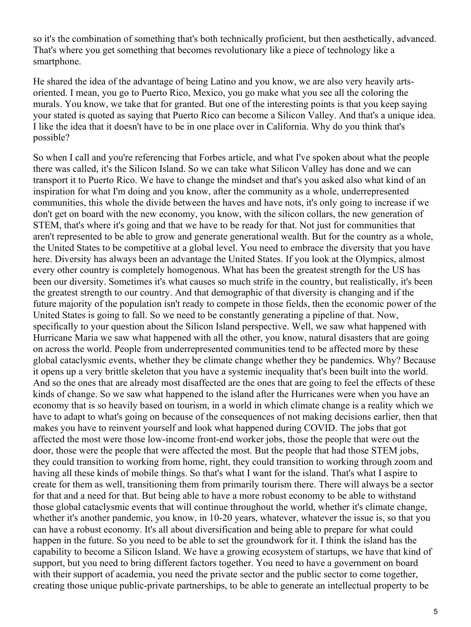so it's the combination of something that's both technically proficient, but then aesthetically, advanced. That's where you get something that becomes revolutionary like a piece of technology like a smartphone.

He shared the idea of the advantage of being Latino and you know, we are also very heavily artsoriented. I mean, you go to Puerto Rico, Mexico, you go make what you see all the coloring the murals. You know, we take that for granted. But one of the interesting points is that you keep saying your stated is quoted as saying that Puerto Rico can become a Silicon Valley. And that's a unique idea. I like the idea that it doesn't have to be in one place over in California. Why do you think that's possible?

So when I call and you're referencing that Forbes article, and what I've spoken about what the people there was called, it's the Silicon Island. So we can take what Silicon Valley has done and we can transport it to Puerto Rico. We have to change the mindset and that's you asked also what kind of an inspiration for what I'm doing and you know, after the community as a whole, underrepresented communities, this whole the divide between the haves and have nots, it's only going to increase if we don't get on board with the new economy, you know, with the silicon collars, the new generation of STEM, that's where it's going and that we have to be ready for that. Not just for communities that aren't represented to be able to grow and generate generational wealth. But for the country as a whole, the United States to be competitive at a global level. You need to embrace the diversity that you have here. Diversity has always been an advantage the United States. If you look at the Olympics, almost every other country is completely homogenous. What has been the greatest strength for the US has been our diversity. Sometimes it's what causes so much strife in the country, but realistically, it's been the greatest strength to our country. And that demographic of that diversity is changing and if the future majority of the population isn't ready to compete in those fields, then the economic power of the United States is going to fall. So we need to be constantly generating a pipeline of that. Now, specifically to your question about the Silicon Island perspective. Well, we saw what happened with Hurricane Maria we saw what happened with all the other, you know, natural disasters that are going on across the world. People from underrepresented communities tend to be affected more by these global cataclysmic events, whether they be climate change whether they be pandemics. Why? Because it opens up a very brittle skeleton that you have a systemic inequality that's been built into the world. And so the ones that are already most disaffected are the ones that are going to feel the effects of these kinds of change. So we saw what happened to the island after the Hurricanes were when you have an economy that is so heavily based on tourism, in a world in which climate change is a reality which we have to adapt to what's going on because of the consequences of not making decisions earlier, then that makes you have to reinvent yourself and look what happened during COVID. The jobs that got affected the most were those low-income front-end worker jobs, those the people that were out the door, those were the people that were affected the most. But the people that had those STEM jobs, they could transition to working from home, right, they could transition to working through zoom and having all these kinds of mobile things. So that's what I want for the island. That's what I aspire to create for them as well, transitioning them from primarily tourism there. There will always be a sector for that and a need for that. But being able to have a more robust economy to be able to withstand those global cataclysmic events that will continue throughout the world, whether it's climate change, whether it's another pandemic, you know, in 10-20 years, whatever, whatever the issue is, so that you can have a robust economy. It's all about diversification and being able to prepare for what could happen in the future. So you need to be able to set the groundwork for it. I think the island has the capability to become a Silicon Island. We have a growing ecosystem of startups, we have that kind of support, but you need to bring different factors together. You need to have a government on board with their support of academia, you need the private sector and the public sector to come together, creating those unique public-private partnerships, to be able to generate an intellectual property to be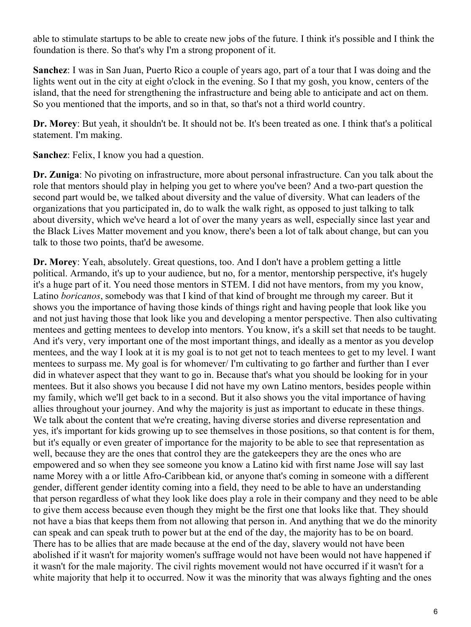able to stimulate startups to be able to create new jobs of the future. I think it's possible and I think the foundation is there. So that's why I'm a strong proponent of it.

**Sanchez**: I was in San Juan, Puerto Rico a couple of years ago, part of a tour that I was doing and the lights went out in the city at eight o'clock in the evening. So I that my gosh, you know, centers of the island, that the need for strengthening the infrastructure and being able to anticipate and act on them. So you mentioned that the imports, and so in that, so that's not a third world country.

**Dr. Morey**: But yeah, it shouldn't be. It should not be. It's been treated as one. I think that's a political statement. I'm making.

**Sanchez**: Felix, I know you had a question.

**Dr. Zuniga**: No pivoting on infrastructure, more about personal infrastructure. Can you talk about the role that mentors should play in helping you get to where you've been? And a two-part question the second part would be, we talked about diversity and the value of diversity. What can leaders of the organizations that you participated in, do to walk the walk right, as opposed to just talking to talk about diversity, which we've heard a lot of over the many years as well, especially since last year and the Black Lives Matter movement and you know, there's been a lot of talk about change, but can you talk to those two points, that'd be awesome.

**Dr. Morey**: Yeah, absolutely. Great questions, too. And I don't have a problem getting a little political. Armando, it's up to your audience, but no, for a mentor, mentorship perspective, it's hugely it's a huge part of it. You need those mentors in STEM. I did not have mentors, from my you know, Latino *boricanos*, somebody was that I kind of that kind of brought me through my career. But it shows you the importance of having those kinds of things right and having people that look like you and not just having those that look like you and developing a mentor perspective. Then also cultivating mentees and getting mentees to develop into mentors. You know, it's a skill set that needs to be taught. And it's very, very important one of the most important things, and ideally as a mentor as you develop mentees, and the way I look at it is my goal is to not get not to teach mentees to get to my level. I want mentees to surpass me. My goal is for whomever/ I'm cultivating to go farther and further than I ever did in whatever aspect that they want to go in. Because that's what you should be looking for in your mentees. But it also shows you because I did not have my own Latino mentors, besides people within my family, which we'll get back to in a second. But it also shows you the vital importance of having allies throughout your journey. And why the majority is just as important to educate in these things. We talk about the content that we're creating, having diverse stories and diverse representation and yes, it's important for kids growing up to see themselves in those positions, so that content is for them, but it's equally or even greater of importance for the majority to be able to see that representation as well, because they are the ones that control they are the gatekeepers they are the ones who are empowered and so when they see someone you know a Latino kid with first name Jose will say last name Morey with a or little Afro-Caribbean kid, or anyone that's coming in someone with a different gender, different gender identity coming into a field, they need to be able to have an understanding that person regardless of what they look like does play a role in their company and they need to be able to give them access because even though they might be the first one that looks like that. They should not have a bias that keeps them from not allowing that person in. And anything that we do the minority can speak and can speak truth to power but at the end of the day, the majority has to be on board. There has to be allies that are made because at the end of the day, slavery would not have been abolished if it wasn't for majority women's suffrage would not have been would not have happened if it wasn't for the male majority. The civil rights movement would not have occurred if it wasn't for a white majority that help it to occurred. Now it was the minority that was always fighting and the ones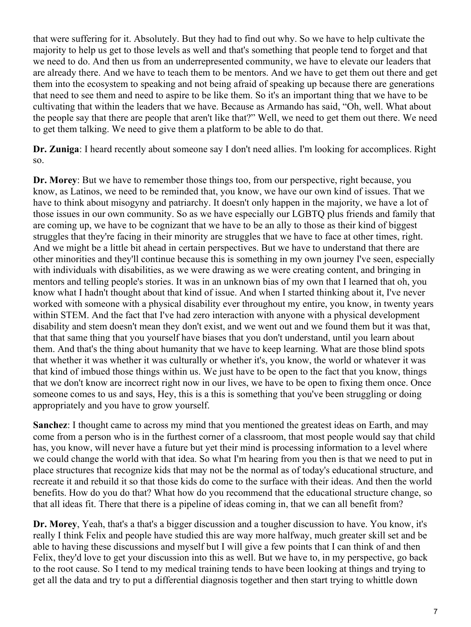that were suffering for it. Absolutely. But they had to find out why. So we have to help cultivate the majority to help us get to those levels as well and that's something that people tend to forget and that we need to do. And then us from an underrepresented community, we have to elevate our leaders that are already there. And we have to teach them to be mentors. And we have to get them out there and get them into the ecosystem to speaking and not being afraid of speaking up because there are generations that need to see them and need to aspire to be like them. So it's an important thing that we have to be cultivating that within the leaders that we have. Because as Armando has said, "Oh, well. What about the people say that there are people that aren't like that?" Well, we need to get them out there. We need to get them talking. We need to give them a platform to be able to do that.

**Dr. Zuniga**: I heard recently about someone say I don't need allies. I'm looking for accomplices. Right so.

**Dr. Morey**: But we have to remember those things too, from our perspective, right because, you know, as Latinos, we need to be reminded that, you know, we have our own kind of issues. That we have to think about misogyny and patriarchy. It doesn't only happen in the majority, we have a lot of those issues in our own community. So as we have especially our LGBTQ plus friends and family that are coming up, we have to be cognizant that we have to be an ally to those as their kind of biggest struggles that they're facing in their minority are struggles that we have to face at other times, right. And we might be a little bit ahead in certain perspectives. But we have to understand that there are other minorities and they'll continue because this is something in my own journey I've seen, especially with individuals with disabilities, as we were drawing as we were creating content, and bringing in mentors and telling people's stories. It was in an unknown bias of my own that I learned that oh, you know what I hadn't thought about that kind of issue. And when I started thinking about it, I've never worked with someone with a physical disability ever throughout my entire, you know, in twenty years within STEM. And the fact that I've had zero interaction with anyone with a physical development disability and stem doesn't mean they don't exist, and we went out and we found them but it was that, that that same thing that you yourself have biases that you don't understand, until you learn about them. And that's the thing about humanity that we have to keep learning. What are those blind spots that whether it was whether it was culturally or whether it's, you know, the world or whatever it was that kind of imbued those things within us. We just have to be open to the fact that you know, things that we don't know are incorrect right now in our lives, we have to be open to fixing them once. Once someone comes to us and says, Hey, this is a this is something that you've been struggling or doing appropriately and you have to grow yourself.

**Sanchez**: I thought came to across my mind that you mentioned the greatest ideas on Earth, and may come from a person who is in the furthest corner of a classroom, that most people would say that child has, you know, will never have a future but yet their mind is processing information to a level where we could change the world with that idea. So what I'm hearing from you then is that we need to put in place structures that recognize kids that may not be the normal as of today's educational structure, and recreate it and rebuild it so that those kids do come to the surface with their ideas. And then the world benefits. How do you do that? What how do you recommend that the educational structure change, so that all ideas fit. There that there is a pipeline of ideas coming in, that we can all benefit from?

**Dr. Morey**, Yeah, that's a that's a bigger discussion and a tougher discussion to have. You know, it's really I think Felix and people have studied this are way more halfway, much greater skill set and be able to having these discussions and myself but I will give a few points that I can think of and then Felix, they'd love to get your discussion into this as well. But we have to, in my perspective, go back to the root cause. So I tend to my medical training tends to have been looking at things and trying to get all the data and try to put a differential diagnosis together and then start trying to whittle down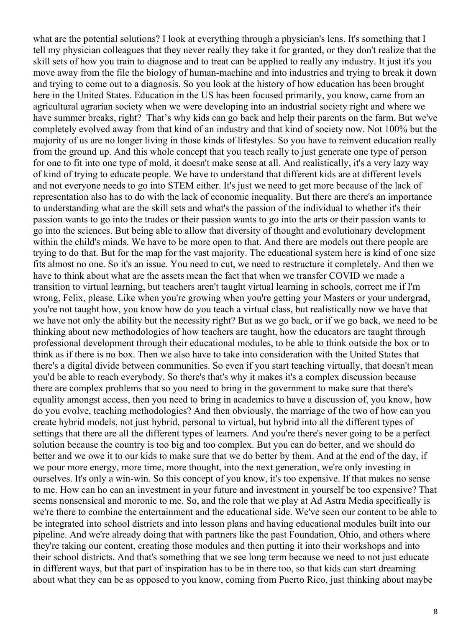what are the potential solutions? I look at everything through a physician's lens. It's something that I tell my physician colleagues that they never really they take it for granted, or they don't realize that the skill sets of how you train to diagnose and to treat can be applied to really any industry. It just it's you move away from the file the biology of human-machine and into industries and trying to break it down and trying to come out to a diagnosis. So you look at the history of how education has been brought here in the United States. Education in the US has been focused primarily, you know, came from an agricultural agrarian society when we were developing into an industrial society right and where we have summer breaks, right? That's why kids can go back and help their parents on the farm. But we've completely evolved away from that kind of an industry and that kind of society now. Not 100% but the majority of us are no longer living in those kinds of lifestyles. So you have to reinvent education really from the ground up. And this whole concept that you teach really to just generate one type of person for one to fit into one type of mold, it doesn't make sense at all. And realistically, it's a very lazy way of kind of trying to educate people. We have to understand that different kids are at different levels and not everyone needs to go into STEM either. It's just we need to get more because of the lack of representation also has to do with the lack of economic inequality. But there are there's an importance to understanding what are the skill sets and what's the passion of the individual to whether it's their passion wants to go into the trades or their passion wants to go into the arts or their passion wants to go into the sciences. But being able to allow that diversity of thought and evolutionary development within the child's minds. We have to be more open to that. And there are models out there people are trying to do that. But for the map for the vast majority. The educational system here is kind of one size fits almost no one. So it's an issue. You need to cut, we need to restructure it completely. And then we have to think about what are the assets mean the fact that when we transfer COVID we made a transition to virtual learning, but teachers aren't taught virtual learning in schools, correct me if I'm wrong, Felix, please. Like when you're growing when you're getting your Masters or your undergrad, you're not taught how, you know how do you teach a virtual class, but realistically now we have that we have not only the ability but the necessity right? But as we go back, or if we go back, we need to be thinking about new methodologies of how teachers are taught, how the educators are taught through professional development through their educational modules, to be able to think outside the box or to think as if there is no box. Then we also have to take into consideration with the United States that there's a digital divide between communities. So even if you start teaching virtually, that doesn't mean you'd be able to reach everybody. So there's that's why it makes it's a complex discussion because there are complex problems that so you need to bring in the government to make sure that there's equality amongst access, then you need to bring in academics to have a discussion of, you know, how do you evolve, teaching methodologies? And then obviously, the marriage of the two of how can you create hybrid models, not just hybrid, personal to virtual, but hybrid into all the different types of settings that there are all the different types of learners. And you're there's never going to be a perfect solution because the country is too big and too complex. But you can do better, and we should do better and we owe it to our kids to make sure that we do better by them. And at the end of the day, if we pour more energy, more time, more thought, into the next generation, we're only investing in ourselves. It's only a win-win. So this concept of you know, it's too expensive. If that makes no sense to me. How can ho can an investment in your future and investment in yourself be too expensive? That seems nonsensical and moronic to me. So, and the role that we play at Ad Astra Media specifically is we're there to combine the entertainment and the educational side. We've seen our content to be able to be integrated into school districts and into lesson plans and having educational modules built into our pipeline. And we're already doing that with partners like the past Foundation, Ohio, and others where they're taking our content, creating those modules and then putting it into their workshops and into their school districts. And that's something that we see long term because we need to not just educate in different ways, but that part of inspiration has to be in there too, so that kids can start dreaming about what they can be as opposed to you know, coming from Puerto Rico, just thinking about maybe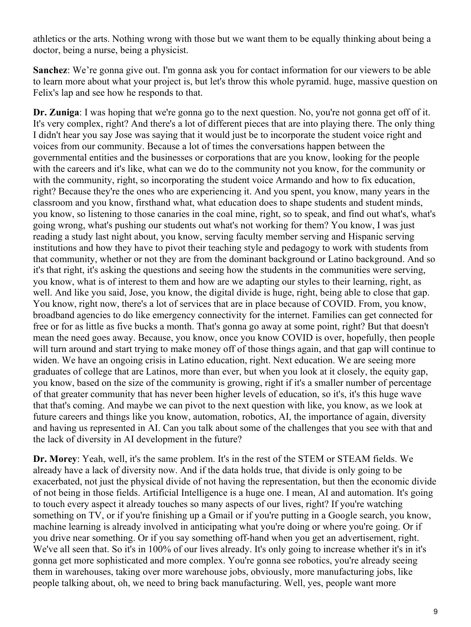athletics or the arts. Nothing wrong with those but we want them to be equally thinking about being a doctor, being a nurse, being a physicist.

**Sanchez**: We're gonna give out. I'm gonna ask you for contact information for our viewers to be able to learn more about what your project is, but let's throw this whole pyramid. huge, massive question on Felix's lap and see how he responds to that.

**Dr. Zuniga**: I was hoping that we're gonna go to the next question. No, you're not gonna get off of it. It's very complex, right? And there's a lot of different pieces that are into playing there. The only thing I didn't hear you say Jose was saying that it would just be to incorporate the student voice right and voices from our community. Because a lot of times the conversations happen between the governmental entities and the businesses or corporations that are you know, looking for the people with the careers and it's like, what can we do to the community not you know, for the community or with the community, right, so incorporating the student voice Armando and how to fix education, right? Because they're the ones who are experiencing it. And you spent, you know, many years in the classroom and you know, firsthand what, what education does to shape students and student minds, you know, so listening to those canaries in the coal mine, right, so to speak, and find out what's, what's going wrong, what's pushing our students out what's not working for them? You know, I was just reading a study last night about, you know, serving faculty member serving and Hispanic serving institutions and how they have to pivot their teaching style and pedagogy to work with students from that community, whether or not they are from the dominant background or Latino background. And so it's that right, it's asking the questions and seeing how the students in the communities were serving, you know, what is of interest to them and how are we adapting our styles to their learning, right, as well. And like you said, Jose, you know, the digital divide is huge, right, being able to close that gap. You know, right now, there's a lot of services that are in place because of COVID. From, you know, broadband agencies to do like emergency connectivity for the internet. Families can get connected for free or for as little as five bucks a month. That's gonna go away at some point, right? But that doesn't mean the need goes away. Because, you know, once you know COVID is over, hopefully, then people will turn around and start trying to make money off of those things again, and that gap will continue to widen. We have an ongoing crisis in Latino education, right. Next education. We are seeing more graduates of college that are Latinos, more than ever, but when you look at it closely, the equity gap, you know, based on the size of the community is growing, right if it's a smaller number of percentage of that greater community that has never been higher levels of education, so it's, it's this huge wave that that's coming. And maybe we can pivot to the next question with like, you know, as we look at future careers and things like you know, automation, robotics, AI, the importance of again, diversity and having us represented in AI. Can you talk about some of the challenges that you see with that and the lack of diversity in AI development in the future?

**Dr. Morey**: Yeah, well, it's the same problem. It's in the rest of the STEM or STEAM fields. We already have a lack of diversity now. And if the data holds true, that divide is only going to be exacerbated, not just the physical divide of not having the representation, but then the economic divide of not being in those fields. Artificial Intelligence is a huge one. I mean, AI and automation. It's going to touch every aspect it already touches so many aspects of our lives, right? If you're watching something on TV, or if you're finishing up a Gmail or if you're putting in a Google search, you know, machine learning is already involved in anticipating what you're doing or where you're going. Or if you drive near something. Or if you say something off-hand when you get an advertisement, right. We've all seen that. So it's in 100% of our lives already. It's only going to increase whether it's in it's gonna get more sophisticated and more complex. You're gonna see robotics, you're already seeing them in warehouses, taking over more warehouse jobs, obviously, more manufacturing jobs, like people talking about, oh, we need to bring back manufacturing. Well, yes, people want more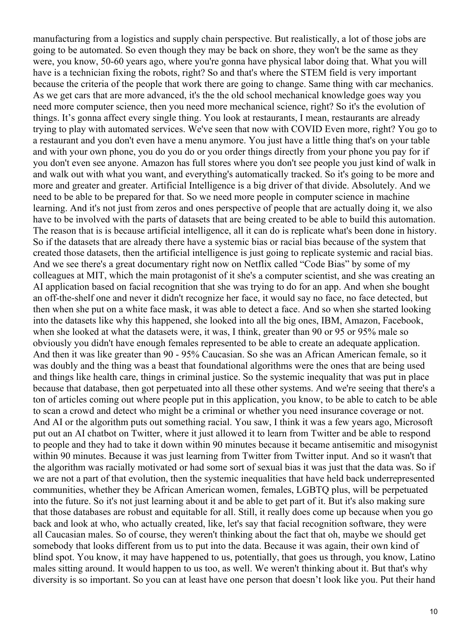manufacturing from a logistics and supply chain perspective. But realistically, a lot of those jobs are going to be automated. So even though they may be back on shore, they won't be the same as they were, you know, 50-60 years ago, where you're gonna have physical labor doing that. What you will have is a technician fixing the robots, right? So and that's where the STEM field is very important because the criteria of the people that work there are going to change. Same thing with car mechanics. As we get cars that are more advanced, it's the the old school mechanical knowledge goes way you need more computer science, then you need more mechanical science, right? So it's the evolution of things. It's gonna affect every single thing. You look at restaurants, I mean, restaurants are already trying to play with automated services. We've seen that now with COVID Even more, right? You go to a restaurant and you don't even have a menu anymore. You just have a little thing that's on your table and with your own phone, you do you do or you order things directly from your phone you pay for if you don't even see anyone. Amazon has full stores where you don't see people you just kind of walk in and walk out with what you want, and everything's automatically tracked. So it's going to be more and more and greater and greater. Artificial Intelligence is a big driver of that divide. Absolutely. And we need to be able to be prepared for that. So we need more people in computer science in machine learning. And it's not just from zeros and ones perspective of people that are actually doing it, we also have to be involved with the parts of datasets that are being created to be able to build this automation. The reason that is is because artificial intelligence, all it can do is replicate what's been done in history. So if the datasets that are already there have a systemic bias or racial bias because of the system that created those datasets, then the artificial intelligence is just going to replicate systemic and racial bias. And we see there's a great documentary right now on Netflix called "Code Bias" by some of my colleagues at MIT, which the main protagonist of it she's a computer scientist, and she was creating an AI application based on facial recognition that she was trying to do for an app. And when she bought an off-the-shelf one and never it didn't recognize her face, it would say no face, no face detected, but then when she put on a white face mask, it was able to detect a face. And so when she started looking into the datasets like why this happened, she looked into all the big ones, IBM, Amazon, Facebook, when she looked at what the datasets were, it was, I think, greater than 90 or 95 or 95% male so obviously you didn't have enough females represented to be able to create an adequate application. And then it was like greater than 90 - 95% Caucasian. So she was an African American female, so it was doubly and the thing was a beast that foundational algorithms were the ones that are being used and things like health care, things in criminal justice. So the systemic inequality that was put in place because that database, then got perpetuated into all these other systems. And we're seeing that there's a ton of articles coming out where people put in this application, you know, to be able to catch to be able to scan a crowd and detect who might be a criminal or whether you need insurance coverage or not. And AI or the algorithm puts out something racial. You saw, I think it was a few years ago, Microsoft put out an AI chatbot on Twitter, where it just allowed it to learn from Twitter and be able to respond to people and they had to take it down within 90 minutes because it became antisemitic and misogynist within 90 minutes. Because it was just learning from Twitter from Twitter input. And so it wasn't that the algorithm was racially motivated or had some sort of sexual bias it was just that the data was. So if we are not a part of that evolution, then the systemic inequalities that have held back underrepresented communities, whether they be African American women, females, LGBTQ plus, will be perpetuated into the future. So it's not just learning about it and be able to get part of it. But it's also making sure that those databases are robust and equitable for all. Still, it really does come up because when you go back and look at who, who actually created, like, let's say that facial recognition software, they were all Caucasian males. So of course, they weren't thinking about the fact that oh, maybe we should get somebody that looks different from us to put into the data. Because it was again, their own kind of blind spot. You know, it may have happened to us, potentially, that goes us through, you know, Latino males sitting around. It would happen to us too, as well. We weren't thinking about it. But that's why diversity is so important. So you can at least have one person that doesn't look like you. Put their hand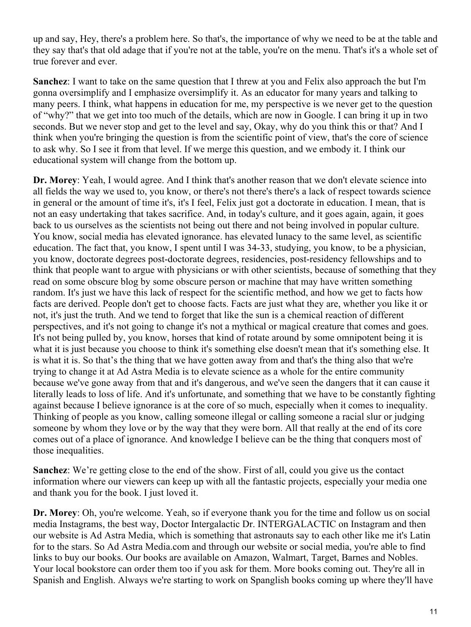up and say, Hey, there's a problem here. So that's, the importance of why we need to be at the table and they say that's that old adage that if you're not at the table, you're on the menu. That's it's a whole set of true forever and ever.

**Sanchez**: I want to take on the same question that I threw at you and Felix also approach the but I'm gonna oversimplify and I emphasize oversimplify it. As an educator for many years and talking to many peers. I think, what happens in education for me, my perspective is we never get to the question of "why?" that we get into too much of the details, which are now in Google. I can bring it up in two seconds. But we never stop and get to the level and say, Okay, why do you think this or that? And I think when you're bringing the question is from the scientific point of view, that's the core of science to ask why. So I see it from that level. If we merge this question, and we embody it. I think our educational system will change from the bottom up.

**Dr. Morey**: Yeah, I would agree. And I think that's another reason that we don't elevate science into all fields the way we used to, you know, or there's not there's there's a lack of respect towards science in general or the amount of time it's, it's I feel, Felix just got a doctorate in education. I mean, that is not an easy undertaking that takes sacrifice. And, in today's culture, and it goes again, again, it goes back to us ourselves as the scientists not being out there and not being involved in popular culture. You know, social media has elevated ignorance. has elevated lunacy to the same level, as scientific education. The fact that, you know, I spent until I was 34-33, studying, you know, to be a physician, you know, doctorate degrees post-doctorate degrees, residencies, post-residency fellowships and to think that people want to argue with physicians or with other scientists, because of something that they read on some obscure blog by some obscure person or machine that may have written something random. It's just we have this lack of respect for the scientific method, and how we get to facts how facts are derived. People don't get to choose facts. Facts are just what they are, whether you like it or not, it's just the truth. And we tend to forget that like the sun is a chemical reaction of different perspectives, and it's not going to change it's not a mythical or magical creature that comes and goes. It's not being pulled by, you know, horses that kind of rotate around by some omnipotent being it is what it is just because you choose to think it's something else doesn't mean that it's something else. It is what it is. So that's the thing that we have gotten away from and that's the thing also that we're trying to change it at Ad Astra Media is to elevate science as a whole for the entire community because we've gone away from that and it's dangerous, and we've seen the dangers that it can cause it literally leads to loss of life. And it's unfortunate, and something that we have to be constantly fighting against because I believe ignorance is at the core of so much, especially when it comes to inequality. Thinking of people as you know, calling someone illegal or calling someone a racial slur or judging someone by whom they love or by the way that they were born. All that really at the end of its core comes out of a place of ignorance. And knowledge I believe can be the thing that conquers most of those inequalities.

**Sanchez**: We're getting close to the end of the show. First of all, could you give us the contact information where our viewers can keep up with all the fantastic projects, especially your media one and thank you for the book. I just loved it.

**Dr. Morey**: Oh, you're welcome. Yeah, so if everyone thank you for the time and follow us on social media Instagrams, the best way, Doctor Intergalactic Dr. INTERGALACTIC on Instagram and then our website is Ad Astra Media, which is something that astronauts say to each other like me it's Latin for to the stars. So Ad Astra Media.com and through our website or social media, you're able to find links to buy our books. Our books are available on Amazon, Walmart, Target, Barnes and Nobles. Your local bookstore can order them too if you ask for them. More books coming out. They're all in Spanish and English. Always we're starting to work on Spanglish books coming up where they'll have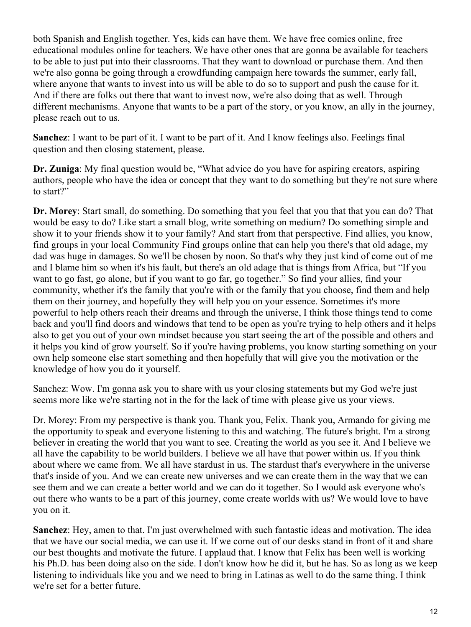both Spanish and English together. Yes, kids can have them. We have free comics online, free educational modules online for teachers. We have other ones that are gonna be available for teachers to be able to just put into their classrooms. That they want to download or purchase them. And then we're also gonna be going through a crowdfunding campaign here towards the summer, early fall, where anyone that wants to invest into us will be able to do so to support and push the cause for it. And if there are folks out there that want to invest now, we're also doing that as well. Through different mechanisms. Anyone that wants to be a part of the story, or you know, an ally in the journey, please reach out to us.

**Sanchez**: I want to be part of it. I want to be part of it. And I know feelings also. Feelings final question and then closing statement, please.

**Dr. Zuniga**: My final question would be, "What advice do you have for aspiring creators, aspiring authors, people who have the idea or concept that they want to do something but they're not sure where to start?"

**Dr. Morey**: Start small, do something. Do something that you feel that you that that you can do? That would be easy to do? Like start a small blog, write something on medium? Do something simple and show it to your friends show it to your family? And start from that perspective. Find allies, you know, find groups in your local Community Find groups online that can help you there's that old adage, my dad was huge in damages. So we'll be chosen by noon. So that's why they just kind of come out of me and I blame him so when it's his fault, but there's an old adage that is things from Africa, but "If you want to go fast, go alone, but if you want to go far, go together." So find your allies, find your community, whether it's the family that you're with or the family that you choose, find them and help them on their journey, and hopefully they will help you on your essence. Sometimes it's more powerful to help others reach their dreams and through the universe, I think those things tend to come back and you'll find doors and windows that tend to be open as you're trying to help others and it helps also to get you out of your own mindset because you start seeing the art of the possible and others and it helps you kind of grow yourself. So if you're having problems, you know starting something on your own help someone else start something and then hopefully that will give you the motivation or the knowledge of how you do it yourself.

Sanchez: Wow. I'm gonna ask you to share with us your closing statements but my God we're just seems more like we're starting not in the for the lack of time with please give us your views.

Dr. Morey: From my perspective is thank you. Thank you, Felix. Thank you, Armando for giving me the opportunity to speak and everyone listening to this and watching. The future's bright. I'm a strong believer in creating the world that you want to see. Creating the world as you see it. And I believe we all have the capability to be world builders. I believe we all have that power within us. If you think about where we came from. We all have stardust in us. The stardust that's everywhere in the universe that's inside of you. And we can create new universes and we can create them in the way that we can see them and we can create a better world and we can do it together. So I would ask everyone who's out there who wants to be a part of this journey, come create worlds with us? We would love to have you on it.

**Sanchez**: Hey, amen to that. I'm just overwhelmed with such fantastic ideas and motivation. The idea that we have our social media, we can use it. If we come out of our desks stand in front of it and share our best thoughts and motivate the future. I applaud that. I know that Felix has been well is working his Ph.D. has been doing also on the side. I don't know how he did it, but he has. So as long as we keep listening to individuals like you and we need to bring in Latinas as well to do the same thing. I think we're set for a better future.